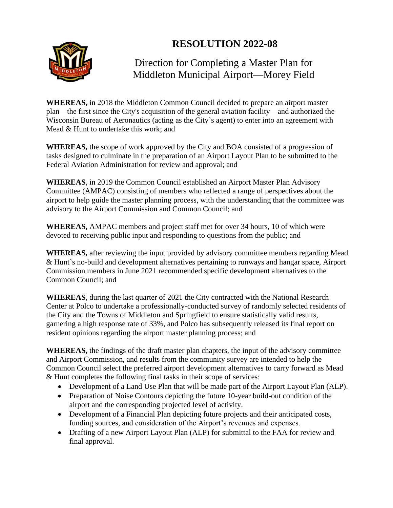## **RESOLUTION 2022-08**



## Direction for Completing a Master Plan for Middleton Municipal Airport—Morey Field

**WHEREAS,** in 2018 the Middleton Common Council decided to prepare an airport master plan—the first since the City's acquisition of the general aviation facility—and authorized the Wisconsin Bureau of Aeronautics (acting as the City's agent) to enter into an agreement with Mead & Hunt to undertake this work; and

**WHEREAS,** the scope of work approved by the City and BOA consisted of a progression of tasks designed to culminate in the preparation of an Airport Layout Plan to be submitted to the Federal Aviation Administration for review and approval; and

**WHEREAS**, in 2019 the Common Council established an Airport Master Plan Advisory Committee (AMPAC) consisting of members who reflected a range of perspectives about the airport to help guide the master planning process, with the understanding that the committee was advisory to the Airport Commission and Common Council; and

**WHEREAS,** AMPAC members and project staff met for over 34 hours, 10 of which were devoted to receiving public input and responding to questions from the public; and

**WHEREAS,** after reviewing the input provided by advisory committee members regarding Mead & Hunt's no-build and development alternatives pertaining to runways and hangar space, Airport Commission members in June 2021 recommended specific development alternatives to the Common Council; and

**WHEREAS**, during the last quarter of 2021 the City contracted with the National Research Center at Polco to undertake a professionally-conducted survey of randomly selected residents of the City and the Towns of Middleton and Springfield to ensure statistically valid results, garnering a high response rate of 33%, and Polco has subsequently released its final report on resident opinions regarding the airport master planning process; and

**WHEREAS,** the findings of the draft master plan chapters, the input of the advisory committee and Airport Commission, and results from the community survey are intended to help the Common Council select the preferred airport development alternatives to carry forward as Mead & Hunt completes the following final tasks in their scope of services:

- Development of a Land Use Plan that will be made part of the Airport Layout Plan (ALP).
- Preparation of Noise Contours depicting the future 10-year build-out condition of the airport and the corresponding projected level of activity.
- Development of a Financial Plan depicting future projects and their anticipated costs, funding sources, and consideration of the Airport's revenues and expenses.
- Drafting of a new Airport Layout Plan (ALP) for submittal to the FAA for review and final approval.